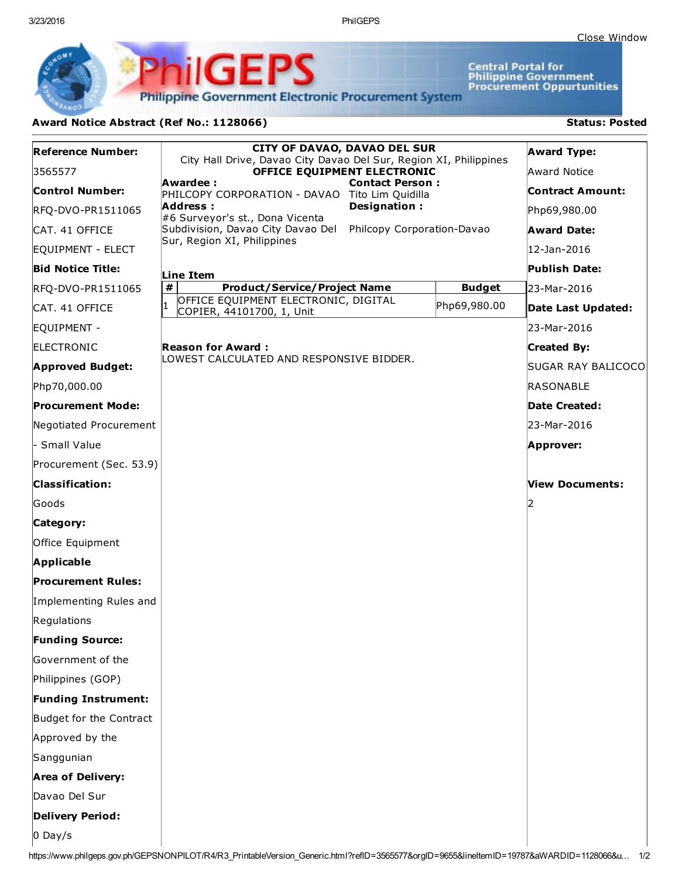3/23/2016 PhilGEPS

Central Portal for<br>Philippine Government<br>Procurement Oppurtunities

**Philippine Government Electronic Procurement System** 

PhilGEPS

## Award Notice Abstract (Ref No.: 1128066) Status: Posted

| <b>Reference Number:</b>   | <b>CITY OF DAVAO, DAVAO DEL SUR</b><br>City Hall Drive, Davao City Davao Del Sur, Region XI, Philippines<br>OFFICE EQUIPMENT ELECTRONIC<br>Awardee:<br><b>Contact Person:</b><br>PHILCOPY CORPORATION - DAVAO Tito Lim Quidilla<br>Designation:<br>Address:<br>#6 Surveyor's st., Dona Vicenta<br>Philcopy Corporation-Davao<br>Subdivision, Davao City Davao Del<br>Sur, Region XI, Philippines |               | <b>Award Type:</b> |  |
|----------------------------|--------------------------------------------------------------------------------------------------------------------------------------------------------------------------------------------------------------------------------------------------------------------------------------------------------------------------------------------------------------------------------------------------|---------------|--------------------|--|
| 3565577                    |                                                                                                                                                                                                                                                                                                                                                                                                  |               | Award Notice       |  |
| <b>Control Number:</b>     |                                                                                                                                                                                                                                                                                                                                                                                                  |               | Contract Amount:   |  |
| RFQ-DVO-PR1511065          |                                                                                                                                                                                                                                                                                                                                                                                                  |               | Php69,980.00       |  |
| CAT. 41 OFFICE             |                                                                                                                                                                                                                                                                                                                                                                                                  |               | <b>Award Date:</b> |  |
| EQUIPMENT - ELECT          |                                                                                                                                                                                                                                                                                                                                                                                                  |               | 12-Jan-2016        |  |
| <b>Bid Notice Title:</b>   | Line Item                                                                                                                                                                                                                                                                                                                                                                                        |               | Publish Date:      |  |
| RFQ-DVO-PR1511065          | #<br><b>Product/Service/Project Name</b>                                                                                                                                                                                                                                                                                                                                                         | <b>Budget</b> | 23-Mar-2016        |  |
| CAT. 41 OFFICE             | OFFICE EQUIPMENT ELECTRONIC, DIGITAL<br>COPIER, 44101700, 1, Unit                                                                                                                                                                                                                                                                                                                                | Php69,980.00  | Date Last Updated: |  |
| EQUIPMENT -                |                                                                                                                                                                                                                                                                                                                                                                                                  |               | 23-Mar-2016        |  |
| <b>ELECTRONIC</b>          | <b>Reason for Award:</b><br>LOWEST CALCULATED AND RESPONSIVE BIDDER.                                                                                                                                                                                                                                                                                                                             |               | <b>Created By:</b> |  |
| <b>Approved Budget:</b>    |                                                                                                                                                                                                                                                                                                                                                                                                  |               | SUGAR RAY BALICOCO |  |
| Php70,000.00               |                                                                                                                                                                                                                                                                                                                                                                                                  |               | RASONABLE          |  |
| <b>Procurement Mode:</b>   |                                                                                                                                                                                                                                                                                                                                                                                                  |               | Date Created:      |  |
| Negotiated Procurement     |                                                                                                                                                                                                                                                                                                                                                                                                  |               | l23-Mar-2016       |  |
| · Small Value              |                                                                                                                                                                                                                                                                                                                                                                                                  |               | Approver:          |  |
| Procurement (Sec. 53.9)    |                                                                                                                                                                                                                                                                                                                                                                                                  |               |                    |  |
| <b>Classification:</b>     |                                                                                                                                                                                                                                                                                                                                                                                                  |               | View Documents:    |  |
| Goods                      |                                                                                                                                                                                                                                                                                                                                                                                                  |               |                    |  |
| Category:                  |                                                                                                                                                                                                                                                                                                                                                                                                  |               |                    |  |
| Office Equipment           |                                                                                                                                                                                                                                                                                                                                                                                                  |               |                    |  |
| Applicable                 |                                                                                                                                                                                                                                                                                                                                                                                                  |               |                    |  |
| <b>Procurement Rules:</b>  |                                                                                                                                                                                                                                                                                                                                                                                                  |               |                    |  |
| Implementing Rules and     |                                                                                                                                                                                                                                                                                                                                                                                                  |               |                    |  |
| Regulations                |                                                                                                                                                                                                                                                                                                                                                                                                  |               |                    |  |
| <b>Funding Source:</b>     |                                                                                                                                                                                                                                                                                                                                                                                                  |               |                    |  |
| Government of the          |                                                                                                                                                                                                                                                                                                                                                                                                  |               |                    |  |
| Philippines (GOP)          |                                                                                                                                                                                                                                                                                                                                                                                                  |               |                    |  |
| <b>Funding Instrument:</b> |                                                                                                                                                                                                                                                                                                                                                                                                  |               |                    |  |
| Budget for the Contract    |                                                                                                                                                                                                                                                                                                                                                                                                  |               |                    |  |
| Approved by the            |                                                                                                                                                                                                                                                                                                                                                                                                  |               |                    |  |
| Sanggunian                 |                                                                                                                                                                                                                                                                                                                                                                                                  |               |                    |  |
| <b>Area of Delivery:</b>   |                                                                                                                                                                                                                                                                                                                                                                                                  |               |                    |  |
| Davao Del Sur              |                                                                                                                                                                                                                                                                                                                                                                                                  |               |                    |  |
| <b>Delivery Period:</b>    |                                                                                                                                                                                                                                                                                                                                                                                                  |               |                    |  |
| $0$ Day/s                  |                                                                                                                                                                                                                                                                                                                                                                                                  |               |                    |  |